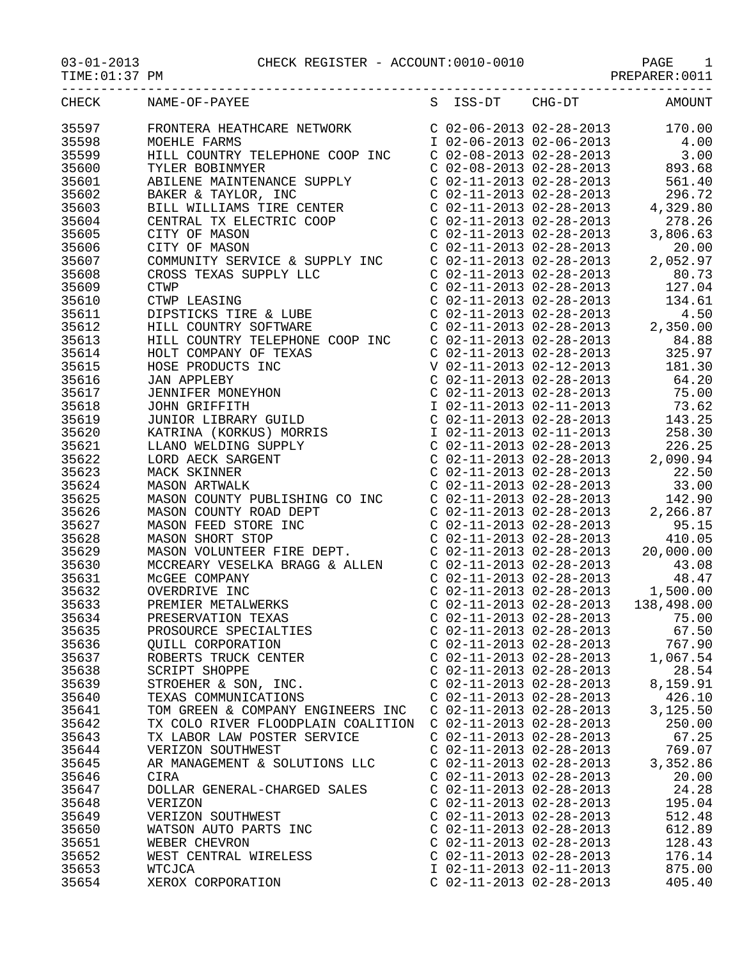## 03-01-2013 CHECK REGISTER - ACCOUNT:0010-0010 PAGE 1

PREPARER:0011

|       | CHECK NAME-OF-PAYEE                                                                                                                                                                                                                                                                                                                                       |                           | S ISS-DT CHG-DT | AMOUNT                            |
|-------|-----------------------------------------------------------------------------------------------------------------------------------------------------------------------------------------------------------------------------------------------------------------------------------------------------------------------------------------------------------|---------------------------|-----------------|-----------------------------------|
| 35597 |                                                                                                                                                                                                                                                                                                                                                           |                           |                 |                                   |
| 35598 |                                                                                                                                                                                                                                                                                                                                                           |                           |                 |                                   |
| 35599 |                                                                                                                                                                                                                                                                                                                                                           |                           |                 |                                   |
| 35600 |                                                                                                                                                                                                                                                                                                                                                           |                           |                 |                                   |
| 35601 |                                                                                                                                                                                                                                                                                                                                                           |                           |                 |                                   |
| 35602 |                                                                                                                                                                                                                                                                                                                                                           |                           |                 |                                   |
| 35603 |                                                                                                                                                                                                                                                                                                                                                           |                           |                 |                                   |
| 35604 |                                                                                                                                                                                                                                                                                                                                                           |                           |                 |                                   |
| 35605 |                                                                                                                                                                                                                                                                                                                                                           |                           |                 |                                   |
| 35606 |                                                                                                                                                                                                                                                                                                                                                           |                           |                 |                                   |
| 35607 |                                                                                                                                                                                                                                                                                                                                                           |                           |                 |                                   |
| 35608 |                                                                                                                                                                                                                                                                                                                                                           |                           |                 |                                   |
| 35609 |                                                                                                                                                                                                                                                                                                                                                           |                           |                 |                                   |
| 35610 |                                                                                                                                                                                                                                                                                                                                                           |                           |                 |                                   |
| 35611 |                                                                                                                                                                                                                                                                                                                                                           |                           |                 |                                   |
|       |                                                                                                                                                                                                                                                                                                                                                           |                           |                 |                                   |
| 35612 |                                                                                                                                                                                                                                                                                                                                                           |                           |                 |                                   |
| 35613 |                                                                                                                                                                                                                                                                                                                                                           |                           |                 |                                   |
| 35614 |                                                                                                                                                                                                                                                                                                                                                           |                           |                 |                                   |
| 35615 |                                                                                                                                                                                                                                                                                                                                                           |                           |                 |                                   |
| 35616 |                                                                                                                                                                                                                                                                                                                                                           |                           |                 |                                   |
| 35617 |                                                                                                                                                                                                                                                                                                                                                           |                           |                 |                                   |
| 35618 |                                                                                                                                                                                                                                                                                                                                                           |                           |                 |                                   |
| 35619 |                                                                                                                                                                                                                                                                                                                                                           |                           |                 |                                   |
| 35620 |                                                                                                                                                                                                                                                                                                                                                           |                           |                 |                                   |
| 35621 |                                                                                                                                                                                                                                                                                                                                                           |                           |                 |                                   |
| 35622 |                                                                                                                                                                                                                                                                                                                                                           |                           |                 |                                   |
| 35623 |                                                                                                                                                                                                                                                                                                                                                           |                           |                 |                                   |
| 35624 |                                                                                                                                                                                                                                                                                                                                                           |                           |                 |                                   |
| 35625 |                                                                                                                                                                                                                                                                                                                                                           |                           |                 |                                   |
| 35626 |                                                                                                                                                                                                                                                                                                                                                           |                           |                 |                                   |
| 35627 | MASON COUNTY ROAD DEPT<br>MASON FEED STORE INC<br>MASON SHORT STOP C 02-11-2013 02-28-2013<br>MASON SHORT STOP C 02-11-2013 02-28-2013<br>MASON VOLUNTEER FIRE DEPT. C 02-11-2013 02-28-2013<br>C 02-11-2013 02-28-2013<br>C 02-11-2013 02                                                                                                                |                           |                 |                                   |
| 35628 |                                                                                                                                                                                                                                                                                                                                                           |                           |                 |                                   |
| 35629 |                                                                                                                                                                                                                                                                                                                                                           |                           |                 |                                   |
| 35630 |                                                                                                                                                                                                                                                                                                                                                           |                           |                 |                                   |
| 35631 | MCCREARY VESELKA BRAGG & ALLEN<br>MCGEE COMPANY<br>MCGEE COMPANY<br>OVERDRIVE INC<br>OVERDRIVE INC<br>OVERE TALMERKS<br>CO2-11-2013 02-28-2013<br>CO2-11-2013 02-28-2013<br>1,500.00<br>PREMIER METALWERKS<br>CO2-11-2013 02-28-2013<br>CO2-11-2013<br>MCGEE COMPANY<br>OVERDRIVE INC<br>PREMIER METALWERKS<br>PRESERVATION TEXAS<br>PROSOURCE SPECIALITY |                           |                 |                                   |
| 35632 |                                                                                                                                                                                                                                                                                                                                                           |                           |                 |                                   |
| 35633 |                                                                                                                                                                                                                                                                                                                                                           |                           |                 |                                   |
| 35634 |                                                                                                                                                                                                                                                                                                                                                           |                           |                 | C $02-11-2013$ $02-28-2013$ 75.00 |
| 35635 | PROSOURCE SPECIALTIES                                                                                                                                                                                                                                                                                                                                     | $C$ 02-11-2013 02-28-2013 |                 | 67.50                             |
| 35636 | QUILL CORPORATION                                                                                                                                                                                                                                                                                                                                         | $C$ 02-11-2013 02-28-2013 |                 | 767.90                            |
| 35637 | ROBERTS TRUCK CENTER                                                                                                                                                                                                                                                                                                                                      | $C$ 02-11-2013 02-28-2013 |                 | 1,067.54                          |
| 35638 | SCRIPT SHOPPE                                                                                                                                                                                                                                                                                                                                             | $C$ 02-11-2013 02-28-2013 |                 | 28.54                             |
| 35639 | STROEHER & SON, INC.                                                                                                                                                                                                                                                                                                                                      | $C$ 02-11-2013 02-28-2013 |                 | 8,159.91                          |
| 35640 | TEXAS COMMUNICATIONS                                                                                                                                                                                                                                                                                                                                      | $C$ 02-11-2013 02-28-2013 |                 | 426.10                            |
| 35641 | TOM GREEN & COMPANY ENGINEERS INC                                                                                                                                                                                                                                                                                                                         | $C$ 02-11-2013 02-28-2013 |                 | 3,125.50                          |
| 35642 | TX COLO RIVER FLOODPLAIN COALITION                                                                                                                                                                                                                                                                                                                        | $C$ 02-11-2013 02-28-2013 |                 | 250.00                            |
| 35643 | TX LABOR LAW POSTER SERVICE                                                                                                                                                                                                                                                                                                                               | $C$ 02-11-2013 02-28-2013 |                 | 67.25                             |
| 35644 | VERIZON SOUTHWEST                                                                                                                                                                                                                                                                                                                                         | $C$ 02-11-2013 02-28-2013 |                 | 769.07                            |
| 35645 | AR MANAGEMENT & SOLUTIONS LLC                                                                                                                                                                                                                                                                                                                             | $C$ 02-11-2013 02-28-2013 |                 | 3,352.86                          |
| 35646 | CIRA                                                                                                                                                                                                                                                                                                                                                      | $C$ 02-11-2013 02-28-2013 |                 | 20.00                             |
| 35647 | DOLLAR GENERAL-CHARGED SALES                                                                                                                                                                                                                                                                                                                              | $C$ 02-11-2013 02-28-2013 |                 | 24.28                             |
| 35648 | VERIZON                                                                                                                                                                                                                                                                                                                                                   | $C$ 02-11-2013 02-28-2013 |                 | 195.04                            |
| 35649 | VERIZON SOUTHWEST                                                                                                                                                                                                                                                                                                                                         | $C$ 02-11-2013 02-28-2013 |                 | 512.48                            |
| 35650 | WATSON AUTO PARTS INC                                                                                                                                                                                                                                                                                                                                     | $C$ 02-11-2013 02-28-2013 |                 | 612.89                            |
| 35651 | WEBER CHEVRON                                                                                                                                                                                                                                                                                                                                             | $C$ 02-11-2013 02-28-2013 |                 | 128.43                            |
| 35652 | WEST CENTRAL WIRELESS                                                                                                                                                                                                                                                                                                                                     | $C$ 02-11-2013 02-28-2013 |                 | 176.14                            |
| 35653 | WTCJCA                                                                                                                                                                                                                                                                                                                                                    | I 02-11-2013 02-11-2013   |                 | 875.00                            |
| 35654 | XEROX CORPORATION                                                                                                                                                                                                                                                                                                                                         | $C$ 02-11-2013 02-28-2013 |                 | 405.40                            |
|       |                                                                                                                                                                                                                                                                                                                                                           |                           |                 |                                   |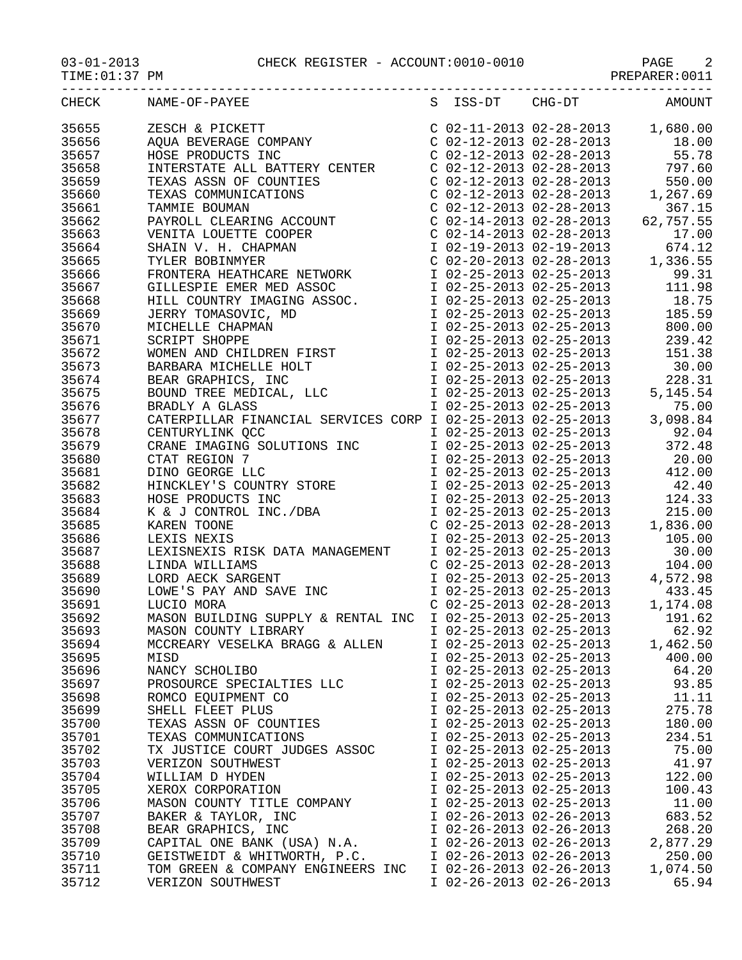03-01-2013 CHECK REGISTER - ACCOUNT:0010-0010 PAGE 2

-----------------------------------------------------------------------------------

TIME:01:37 PM PREPARER:0011

| CHECK | NAME-OF-PAYEE                                                                                                                                                                                                                                                                                                                                                                                                                                       | S ISS-DT                  | CHG-DT                  | AMOUNT                                                                                                                                                                                                      |
|-------|-----------------------------------------------------------------------------------------------------------------------------------------------------------------------------------------------------------------------------------------------------------------------------------------------------------------------------------------------------------------------------------------------------------------------------------------------------|---------------------------|-------------------------|-------------------------------------------------------------------------------------------------------------------------------------------------------------------------------------------------------------|
| 35655 | $\begin{tabular}{l c c c c} \multicolumn{4}{l}{\textbf{NAME-OP-PAYEE}} & \multicolumn{4}{l}{S} & \multicolumn{4}{l}{S} & \multicolumn{4}{l}{S} & \multicolumn{4}{l}{S} & \multicolumn{4}{l}{S} & \multicolumn{4}{l}{S} & \multicolumn{4}{l}{S} & \multicolumn{4}{l}{S} & \multicolumn{4}{l}{S} & \multicolumn{4}{l}{S} & \multicolumn{4}{l}{S} & \multicolumn{4}{l}{S} & \multicolumn{4}{l}{S} & \multicolumn{4}{l}{S} & \multicolumn{4}{l}{S} & \$ |                           |                         |                                                                                                                                                                                                             |
| 35656 |                                                                                                                                                                                                                                                                                                                                                                                                                                                     |                           |                         |                                                                                                                                                                                                             |
| 35657 |                                                                                                                                                                                                                                                                                                                                                                                                                                                     |                           |                         |                                                                                                                                                                                                             |
| 35658 |                                                                                                                                                                                                                                                                                                                                                                                                                                                     |                           |                         |                                                                                                                                                                                                             |
| 35659 |                                                                                                                                                                                                                                                                                                                                                                                                                                                     |                           |                         |                                                                                                                                                                                                             |
| 35660 |                                                                                                                                                                                                                                                                                                                                                                                                                                                     |                           |                         |                                                                                                                                                                                                             |
| 35661 |                                                                                                                                                                                                                                                                                                                                                                                                                                                     |                           |                         |                                                                                                                                                                                                             |
| 35662 |                                                                                                                                                                                                                                                                                                                                                                                                                                                     |                           |                         |                                                                                                                                                                                                             |
| 35663 |                                                                                                                                                                                                                                                                                                                                                                                                                                                     |                           |                         |                                                                                                                                                                                                             |
| 35664 |                                                                                                                                                                                                                                                                                                                                                                                                                                                     |                           |                         |                                                                                                                                                                                                             |
| 35665 |                                                                                                                                                                                                                                                                                                                                                                                                                                                     |                           |                         |                                                                                                                                                                                                             |
| 35666 |                                                                                                                                                                                                                                                                                                                                                                                                                                                     |                           |                         |                                                                                                                                                                                                             |
| 35667 |                                                                                                                                                                                                                                                                                                                                                                                                                                                     |                           |                         |                                                                                                                                                                                                             |
|       |                                                                                                                                                                                                                                                                                                                                                                                                                                                     |                           |                         |                                                                                                                                                                                                             |
| 35668 |                                                                                                                                                                                                                                                                                                                                                                                                                                                     |                           |                         |                                                                                                                                                                                                             |
| 35669 |                                                                                                                                                                                                                                                                                                                                                                                                                                                     |                           |                         |                                                                                                                                                                                                             |
| 35670 |                                                                                                                                                                                                                                                                                                                                                                                                                                                     |                           |                         |                                                                                                                                                                                                             |
| 35671 |                                                                                                                                                                                                                                                                                                                                                                                                                                                     |                           |                         |                                                                                                                                                                                                             |
| 35672 |                                                                                                                                                                                                                                                                                                                                                                                                                                                     |                           |                         |                                                                                                                                                                                                             |
| 35673 |                                                                                                                                                                                                                                                                                                                                                                                                                                                     |                           |                         |                                                                                                                                                                                                             |
| 35674 |                                                                                                                                                                                                                                                                                                                                                                                                                                                     |                           |                         |                                                                                                                                                                                                             |
| 35675 |                                                                                                                                                                                                                                                                                                                                                                                                                                                     |                           |                         |                                                                                                                                                                                                             |
| 35676 |                                                                                                                                                                                                                                                                                                                                                                                                                                                     |                           |                         |                                                                                                                                                                                                             |
| 35677 |                                                                                                                                                                                                                                                                                                                                                                                                                                                     |                           |                         |                                                                                                                                                                                                             |
| 35678 |                                                                                                                                                                                                                                                                                                                                                                                                                                                     |                           |                         |                                                                                                                                                                                                             |
| 35679 |                                                                                                                                                                                                                                                                                                                                                                                                                                                     |                           |                         |                                                                                                                                                                                                             |
| 35680 |                                                                                                                                                                                                                                                                                                                                                                                                                                                     |                           |                         |                                                                                                                                                                                                             |
| 35681 |                                                                                                                                                                                                                                                                                                                                                                                                                                                     |                           |                         |                                                                                                                                                                                                             |
| 35682 |                                                                                                                                                                                                                                                                                                                                                                                                                                                     |                           |                         |                                                                                                                                                                                                             |
| 35683 |                                                                                                                                                                                                                                                                                                                                                                                                                                                     |                           |                         |                                                                                                                                                                                                             |
| 35684 |                                                                                                                                                                                                                                                                                                                                                                                                                                                     |                           |                         |                                                                                                                                                                                                             |
| 35685 | CATERPILLAR FINANCIAL SERVICES CONF 1 02-25-2013 02-25-2013 372.48<br>CRANE IMAGING SOLUTIONS INC 1 02-25-2013 02-25-2013 372.48<br>CTAT REGION 7 1 02-25-2013 02-25-2013 20.00<br>DINO GEORGE LLC 1 02-25-2013 02-25-2013 42.40<br>HI                                                                                                                                                                                                              |                           |                         | 1 02-25-2013 02-25-2013 215.00<br>C 02-25-2013 02-28-2013 1,836.00<br>I 02-25-2013 02-25-2013 1,836.00<br>I 02-25-2013 02-25-2013 105.00<br>C 02-25-2013 02-28-2013 30.00<br>C 02-25-2013 02-28-2013 104.00 |
| 35686 |                                                                                                                                                                                                                                                                                                                                                                                                                                                     |                           |                         |                                                                                                                                                                                                             |
| 35687 | LEXISNEXIS RISK DATA MANAGEMENT                                                                                                                                                                                                                                                                                                                                                                                                                     |                           |                         |                                                                                                                                                                                                             |
| 35688 |                                                                                                                                                                                                                                                                                                                                                                                                                                                     |                           |                         |                                                                                                                                                                                                             |
| 35689 |                                                                                                                                                                                                                                                                                                                                                                                                                                                     |                           |                         | I 02-25-2013 02-25-2013 4,572.98                                                                                                                                                                            |
| 35690 | LOWE'S PAY AND SAVE INC<br>LUCIO MORA<br>LUCIO MORA<br>MASON BUILDING SUPPLY & RENTAL INC I 02-25-2013 02-25-2013<br>MASON COUNTY LIBRARY<br>T 02-25-2013 02-25-2013<br>I 02-25-2013 02-25-2013<br>I 02-25-2013<br>I 02-25-2013<br>I 02-25-2013<br>                                                                                                                                                                                                 |                           |                         |                                                                                                                                                                                                             |
| 35691 |                                                                                                                                                                                                                                                                                                                                                                                                                                                     |                           |                         |                                                                                                                                                                                                             |
| 35692 |                                                                                                                                                                                                                                                                                                                                                                                                                                                     |                           |                         |                                                                                                                                                                                                             |
| 35693 |                                                                                                                                                                                                                                                                                                                                                                                                                                                     |                           |                         |                                                                                                                                                                                                             |
| 35694 | MCCREARY VESELKA BRAGG & ALLEN                                                                                                                                                                                                                                                                                                                                                                                                                      |                           | I 02-25-2013 02-25-2013 | 1,462.50                                                                                                                                                                                                    |
| 35695 | MISD                                                                                                                                                                                                                                                                                                                                                                                                                                                | I 02-25-2013 02-25-2013   |                         | 400.00                                                                                                                                                                                                      |
| 35696 | NANCY SCHOLIBO                                                                                                                                                                                                                                                                                                                                                                                                                                      | I 02-25-2013 02-25-2013   |                         | 64.20                                                                                                                                                                                                       |
| 35697 | PROSOURCE SPECIALTIES LLC                                                                                                                                                                                                                                                                                                                                                                                                                           |                           | I 02-25-2013 02-25-2013 | 93.85                                                                                                                                                                                                       |
| 35698 | ROMCO EQUIPMENT CO                                                                                                                                                                                                                                                                                                                                                                                                                                  |                           | I 02-25-2013 02-25-2013 | 11.11                                                                                                                                                                                                       |
| 35699 | SHELL FLEET PLUS                                                                                                                                                                                                                                                                                                                                                                                                                                    |                           | I 02-25-2013 02-25-2013 | 275.78                                                                                                                                                                                                      |
| 35700 | TEXAS ASSN OF COUNTIES                                                                                                                                                                                                                                                                                                                                                                                                                              | I 02-25-2013 02-25-2013   |                         | 180.00                                                                                                                                                                                                      |
| 35701 | TEXAS COMMUNICATIONS                                                                                                                                                                                                                                                                                                                                                                                                                                | I 02-25-2013 02-25-2013   |                         | 234.51                                                                                                                                                                                                      |
| 35702 | TX JUSTICE COURT JUDGES ASSOC                                                                                                                                                                                                                                                                                                                                                                                                                       | I 02-25-2013 02-25-2013   |                         | 75.00                                                                                                                                                                                                       |
| 35703 | VERIZON SOUTHWEST                                                                                                                                                                                                                                                                                                                                                                                                                                   | I 02-25-2013 02-25-2013   |                         | 41.97                                                                                                                                                                                                       |
| 35704 | WILLIAM D HYDEN                                                                                                                                                                                                                                                                                                                                                                                                                                     | I 02-25-2013 02-25-2013   |                         | 122.00                                                                                                                                                                                                      |
| 35705 | XEROX CORPORATION                                                                                                                                                                                                                                                                                                                                                                                                                                   | I 02-25-2013 02-25-2013   |                         | 100.43                                                                                                                                                                                                      |
| 35706 | MASON COUNTY TITLE COMPANY                                                                                                                                                                                                                                                                                                                                                                                                                          | I 02-25-2013 02-25-2013   |                         | 11.00                                                                                                                                                                                                       |
| 35707 | BAKER & TAYLOR, INC                                                                                                                                                                                                                                                                                                                                                                                                                                 | I 02-26-2013 02-26-2013   |                         | 683.52                                                                                                                                                                                                      |
| 35708 | BEAR GRAPHICS, INC                                                                                                                                                                                                                                                                                                                                                                                                                                  | I 02-26-2013 02-26-2013   |                         | 268.20                                                                                                                                                                                                      |
| 35709 | CAPITAL ONE BANK (USA) N.A.                                                                                                                                                                                                                                                                                                                                                                                                                         | I 02-26-2013 02-26-2013   |                         | 2,877.29                                                                                                                                                                                                    |
| 35710 | GEISTWEIDT & WHITWORTH, P.C.                                                                                                                                                                                                                                                                                                                                                                                                                        | I 02-26-2013 02-26-2013   |                         | 250.00                                                                                                                                                                                                      |
| 35711 | TOM GREEN & COMPANY ENGINEERS INC                                                                                                                                                                                                                                                                                                                                                                                                                   | $I$ 02-26-2013 02-26-2013 |                         | 1,074.50                                                                                                                                                                                                    |

35712 VERIZON SOUTHWEST 1 02-26-2013 02-26-2013 65.94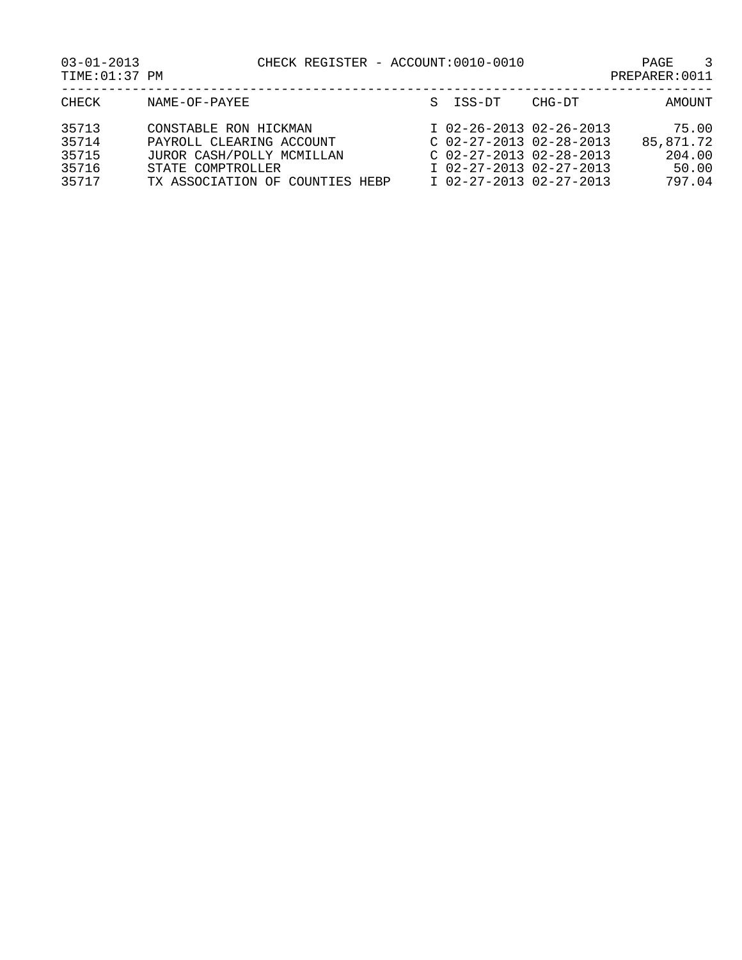CHECK REGISTER - ACCOUNT:0010-0010 PAGE 3<br>PREPARER:0011

| $03 - 01 - 2013$ |  |
|------------------|--|
| TIME: 01:37 PM   |  |

| CHECK                                     | NAME-OF-PAYEE                                                                                                                          | S ISS-DT                                                                                                                                  | CHG-DT | AMOUNT                                          |
|-------------------------------------------|----------------------------------------------------------------------------------------------------------------------------------------|-------------------------------------------------------------------------------------------------------------------------------------------|--------|-------------------------------------------------|
| 35713<br>35714<br>35715<br>35716<br>35717 | CONSTABLE RON HICKMAN<br>PAYROLL CLEARING ACCOUNT<br>JUROR CASH/POLLY MCMILLAN<br>STATE COMPTROLLER<br>TX ASSOCIATION OF COUNTIES HEBP | I 02-26-2013 02-26-2013<br>$C$ 02-27-2013 02-28-2013<br>$C$ 02-27-2013 02-28-2013<br>I 02-27-2013 02-27-2013<br>$I$ 02-27-2013 02-27-2013 |        | 75.00<br>85,871.72<br>204.00<br>50.00<br>797.04 |